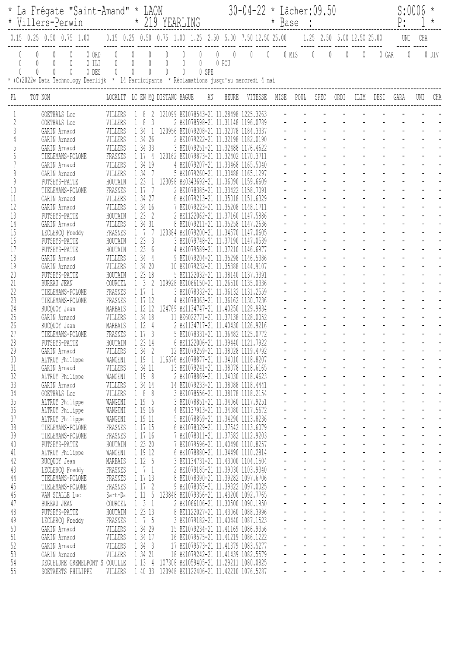| * La Frégate "Saint-Amand" * LAON<br>* 219 YEARLING<br>* Villers-Perwin |                                                                                                                                                                                          |                    |                                    |                   |                                              |       | $30 - 04 - 22$ * Lâcher: 09.50<br>* Base : |                                                                             |      |                                                                                                                                                               |                     |                                                                    |                           |                                      | S:0006                                                                              | $^\star$                  |                           |                          |
|-------------------------------------------------------------------------|------------------------------------------------------------------------------------------------------------------------------------------------------------------------------------------|--------------------|------------------------------------|-------------------|----------------------------------------------|-------|--------------------------------------------|-----------------------------------------------------------------------------|------|---------------------------------------------------------------------------------------------------------------------------------------------------------------|---------------------|--------------------------------------------------------------------|---------------------------|--------------------------------------|-------------------------------------------------------------------------------------|---------------------------|---------------------------|--------------------------|
|                                                                         | $0.15$ $0.25$ $0.50$ $0.75$ $1.00$                                                                                                                                                       |                    |                                    |                   |                                              |       |                                            | 0.15 0.25 0.50 0.75 1.00 1.25 2.50 5.00 7.50 12.50 25.00                    |      |                                                                                                                                                               |                     |                                                                    |                           | 1.25 2.50 5.00 12.50 25.00           |                                                                                     | UNI                       | CHA                       |                          |
|                                                                         | $\left( \right)$<br>0 ORD<br>$\begin{matrix} \end{matrix}$<br>$0$ ILI<br>0<br>0 DES<br>0<br>* (C)2022w Data Technology Deerlijk * 14 Participants * Réclamations jusqu'au mercredi 4 mai | 0<br>0             | $\theta$<br>$\mathbb{O}$<br>0<br>0 | $\mathbb{O}$<br>0 | 0<br>0<br>0<br>$\begin{matrix} \end{matrix}$ | 0 SPE | $\theta$<br>0 POU                          | $\mathbb{0}$<br>$\mathbb{0}$                                                |      | 0 MIS                                                                                                                                                         | $\overline{0}$      | $\mathbb{O}$                                                       | 0                         | 0                                    | 0 GAR                                                                               | $\mathbf{0}$              |                           | 0 DIV                    |
| PL                                                                      | TOT NOM                                                                                                                                                                                  |                    | LOCALIT LC EN MQ DISTANC BAGUE     |                   |                                              | AN    | HEURE                                      | VITESSE                                                                     | MISE | POUL                                                                                                                                                          |                     | SPEC                                                               | ORDI                      | ILIM                                 | DESI                                                                                | GARA                      | UNI                       | CHA                      |
|                                                                         | GOETHALS Luc                                                                                                                                                                             | VILLERS            |                                    |                   |                                              |       |                                            | 121099 BE1078543-21 11.28498 1225.3263                                      |      |                                                                                                                                                               |                     |                                                                    |                           |                                      |                                                                                     |                           |                           |                          |
|                                                                         | GOETHALS Luc                                                                                                                                                                             | VILLERS            | - 8<br>3                           |                   |                                              |       |                                            | 2 BE1078598-21 11.31148 1196.0789                                           |      |                                                                                                                                                               |                     |                                                                    |                           |                                      |                                                                                     |                           |                           |                          |
|                                                                         | GARIN Arnaud                                                                                                                                                                             | VILLERS<br>VILLERS | 1 34<br>$\overline{1}$<br>1 34 26  |                   | BE1079222-21 11.32198                        |       |                                            | 120956 BE1079208-21 11.32078 1184.3337<br>1182.0190                         |      |                                                                                                                                                               |                     |                                                                    |                           |                                      |                                                                                     |                           |                           |                          |
|                                                                         | GARIN Arnaud<br>GARIN Arnaud                                                                                                                                                             | VILLERS            | 1 34 33                            |                   |                                              |       |                                            | 3 BE1079251-21 11.32488 1176.4622                                           |      |                                                                                                                                                               |                     |                                                                    |                           |                                      |                                                                                     |                           |                           |                          |
|                                                                         | TIELEMANS-POLOME                                                                                                                                                                         | FRASNES            | 117<br>$\frac{1}{2}$               |                   |                                              |       |                                            | 120162 BE1079873-21 11.32402 1170.3711                                      |      |                                                                                                                                                               |                     |                                                                    |                           |                                      |                                                                                     |                           |                           |                          |
|                                                                         | GARIN Arnaud                                                                                                                                                                             | VILLERS            | 1 34 19                            |                   |                                              |       |                                            | 4 BE1079207-21 11.33468 1165.5040                                           |      |                                                                                                                                                               |                     |                                                                    |                           |                                      |                                                                                     |                           |                           |                          |
|                                                                         | GARIN Arnaud                                                                                                                                                                             | VILLERS            | 1 34                               |                   |                                              |       |                                            | 5 BE1079260-21 11.33488 1165.1297                                           |      |                                                                                                                                                               |                     |                                                                    |                           |                                      |                                                                                     |                           |                           |                          |
| 9<br>10                                                                 | PUTSEYS-PATTE                                                                                                                                                                            | HOUTAIN<br>FRASNES | 1 23<br>1 17                       |                   | BE1078385-21 11.33422                        |       |                                            | 123098 BE0343692-21 11.36090 1159.6609<br>1158.7091                         |      |                                                                                                                                                               |                     |                                                                    |                           |                                      |                                                                                     |                           |                           |                          |
| 11                                                                      | TIELEMANS-POLOME<br><b>GARIN</b> Arnaud                                                                                                                                                  | VILLERS            | 1 34 27                            |                   |                                              |       |                                            | 6 BE1079213-21 11.35018 1151.6329                                           |      |                                                                                                                                                               |                     |                                                                    |                           |                                      |                                                                                     |                           |                           |                          |
| 12                                                                      | GARIN Arnaud                                                                                                                                                                             | VILLERS            | 1 34 16                            |                   | BE1079223-21 11.35208                        |       |                                            | 1148.1711                                                                   |      |                                                                                                                                                               |                     |                                                                    |                           |                                      |                                                                                     |                           |                           |                          |
| 13                                                                      | PUTSEYS-PATTE                                                                                                                                                                            | HOUTAIN            | 123<br>- 2                         |                   |                                              |       |                                            | 2 BE1122062-21 11.37160 1147.5886                                           |      |                                                                                                                                                               |                     |                                                                    |                           |                                      |                                                                                     |                           |                           |                          |
| 14                                                                      | GARIN Arnaud                                                                                                                                                                             | VILLERS            | 1 34 31                            |                   |                                              |       |                                            | 8 BE1079211-21 11.35258 1147.2636                                           |      |                                                                                                                                                               |                     |                                                                    |                           |                                      |                                                                                     |                           |                           |                          |
| 15<br>16                                                                | LECLERCQ Freddy                                                                                                                                                                          | FRASNES            | 1 23                               |                   |                                              |       |                                            | 120384 BE1079200-21 11.34570 1147.0605                                      |      |                                                                                                                                                               |                     |                                                                    |                           |                                      |                                                                                     |                           |                           |                          |
| 17                                                                      | PUTSEYS-PATTE<br>PUTSEYS-PATTE                                                                                                                                                           | HOUTAIN<br>HOUTAIN | -3<br>1 23<br>6                    |                   |                                              |       |                                            | 3 BE1079748-21 11.37190 1147.0539<br>4 BE1079589-21 11.37210 1146.6977      |      |                                                                                                                                                               |                     |                                                                    |                           |                                      |                                                                                     |                           |                           |                          |
| 18                                                                      | GARIN Arnaud                                                                                                                                                                             | VILLERS            | 1 34<br>$\frac{1}{2}$              |                   |                                              |       |                                            | 9 BE1079204-21 11.35298 1146.5386                                           |      |                                                                                                                                                               |                     |                                                                    |                           |                                      |                                                                                     |                           |                           |                          |
| 19                                                                      | GARIN Arnaud                                                                                                                                                                             | VILLERS            | 1 34 20                            |                   |                                              |       |                                            | 10 BE1079232-21 11.35388 1144.9107                                          |      |                                                                                                                                                               |                     |                                                                    |                           |                                      |                                                                                     |                           |                           |                          |
| 20                                                                      | PUTSEYS-PATTE                                                                                                                                                                            | HOUTAIN            | 1 23 18                            |                   |                                              |       |                                            | 5 BE1122032-21 11.38140 1137.3391                                           |      |                                                                                                                                                               |                     |                                                                    |                           |                                      |                                                                                     |                           |                           |                          |
| 21<br>22                                                                | <b>BUREAU JEAN</b>                                                                                                                                                                       | COURCEL<br>FRASNES | -3<br>117<br>-1                    |                   | BE1078332-21 11.36132                        |       |                                            | 109928 BE1066150-21 11.26510 1135.0336<br>1131,2559                         |      |                                                                                                                                                               |                     |                                                                    |                           |                                      |                                                                                     |                           |                           |                          |
| 23                                                                      | TIELEMANS-POLOME<br>TIELEMANS-POLOME                                                                                                                                                     | FRASNES            | 1 17 12                            | 4                 |                                              |       |                                            | BE1078363-21 11.36162 1130.7236                                             |      |                                                                                                                                                               |                     |                                                                    |                           |                                      |                                                                                     |                           |                           |                          |
| 24                                                                      | RUCQUOY Jean                                                                                                                                                                             | MARBAIS            | 1 12 12                            |                   | 124769 BE1134747-21                          |       | 11,40250                                   | 1129.9834                                                                   |      |                                                                                                                                                               |                     |                                                                    |                           |                                      |                                                                                     |                           |                           |                          |
| 25                                                                      | GARIN Arnaud                                                                                                                                                                             | VILLERS            | 1 34 18                            |                   |                                              |       |                                            | 11 BE6022771-21 11.37138 1128.0052                                          |      |                                                                                                                                                               |                     |                                                                    |                           |                                      |                                                                                     |                           |                           |                          |
| 26                                                                      | RUCQUOY Jean                                                                                                                                                                             | MARBAIS            | 1 12<br>$\frac{4}{3}$              |                   |                                              |       |                                            | 2 BE1134717-21 11.40430 1126.9216                                           |      |                                                                                                                                                               |                     |                                                                    |                           |                                      |                                                                                     |                           |                           |                          |
| 27<br>28                                                                | TIELEMANS-POLOME                                                                                                                                                                         | FRASNES            | 1 1 7<br>3<br>1 23 14              |                   |                                              |       |                                            | 5 BE1078331-21 11.36482 1125.0772<br>6 BE1122006-21 11.39440 1121.7922      |      |                                                                                                                                                               |                     |                                                                    |                           |                                      |                                                                                     |                           |                           |                          |
| 29                                                                      | PUTSEYS-PATTE<br>GARIN Arnaud                                                                                                                                                            | HOUTAIN<br>VILLERS | 1342                               |                   |                                              |       |                                            | 12 BE1079259-21 11.38028 1119.4792                                          |      |                                                                                                                                                               |                     |                                                                    |                           |                                      |                                                                                     |                           |                           |                          |
| 30                                                                      | ALTRUY Philippe                                                                                                                                                                          | WANGENI            | 1191                               |                   |                                              |       |                                            | 116376 BE1078877-21 11.34010 1118.8207                                      |      |                                                                                                                                                               |                     |                                                                    |                           |                                      |                                                                                     |                           |                           |                          |
| 31                                                                      | GARIN Arnaud                                                                                                                                                                             | VILLERS            | 1 34 11                            |                   |                                              |       |                                            | 13 BE1079241-21 11.38078 1118.6165                                          |      | $\begin{array}{ll} \frac{1}{2} & \frac{1}{2} & \frac{1}{2} \\ \frac{1}{2} & \frac{1}{2} & \frac{1}{2} \\ \frac{1}{2} & \frac{1}{2} & \frac{1}{2} \end{array}$ |                     |                                                                    |                           |                                      |                                                                                     |                           |                           | $\overline{a}$           |
| 32                                                                      | ALTRUY Philippe                                                                                                                                                                          | WANGENI            | 1 19 8                             |                   |                                              |       |                                            | 2 BE1078869-21 11.34030 1118.4623                                           |      |                                                                                                                                                               |                     |                                                                    |                           |                                      |                                                                                     |                           |                           |                          |
| 33<br>34                                                                | GARIN Arnaud                                                                                                                                                                             | VILLERS            | 1 34 14<br>188                     |                   |                                              |       |                                            | 14 BE1079233-21 11.38088 1118.4441                                          |      |                                                                                                                                                               |                     |                                                                    |                           |                                      |                                                                                     |                           |                           | $\overline{a}$           |
| 35                                                                      | GOETHALS Luc<br>ALTRUY Philippe                                                                                                                                                          | VILLERS<br>WANGENI | 1 19 5                             |                   |                                              |       |                                            | 3 BE1078556-21 11.38178 1118.2154<br>3 BE1078851-21 11.34060 1117.9251      |      |                                                                                                                                                               |                     | $\omega_{\rm{max}}$                                                |                           |                                      | $\mathcal{L}^{\text{max}}(\mathcal{L}^{\text{max}})$ and $\mathcal{L}^{\text{max}}$ |                           |                           |                          |
| $36$                                                                    | ALTRUY Philippe                                                                                                                                                                          | WANGENI            | 1 19 16                            |                   |                                              |       |                                            | 4 BE1137913-21 11.34080 1117.5672                                           |      |                                                                                                                                                               |                     | $\Delta \sim 10^{11}$                                              |                           |                                      | $\Delta_{\rm{max}}$ and $\Delta_{\rm{max}}$ and $\Delta_{\rm{max}}$                 | $\Delta \sim 10^4$        |                           | $\overline{a}$           |
| 37                                                                      | ALTRUY Philippe                                                                                                                                                                          | WANGENI            | 1 19 11                            |                   |                                              |       |                                            | 5 BE1078859-21 11.34290 1113.8236                                           |      |                                                                                                                                                               | $\omega_{\rm{max}}$ | $\omega_{\rm{max}}$                                                |                           |                                      | $\begin{array}{ccc} 1 & 1 & 1 \\ 1 & 1 & 1 \\ 1 & 1 & 1 \\ 1 & 1 & 1 \end{array}$   |                           |                           | $\overline{\phantom{a}}$ |
| 38                                                                      | TIELEMANS-POLOME                                                                                                                                                                         | FRASNES            | 1 17 15                            |                   |                                              |       |                                            | 6 BE1078329-21 11.37542 1113.6079                                           |      |                                                                                                                                                               |                     |                                                                    |                           |                                      |                                                                                     |                           |                           |                          |
| 39                                                                      | TIELEMANS-POLOME                                                                                                                                                                         | FRASNES            | 1 17 16                            |                   |                                              |       |                                            | 7 BE1078311-21 11.37582 1112.9203                                           |      | $\omega_{\rm{max}}$                                                                                                                                           |                     | $\omega_{\rm{max}}$<br>$\omega_{\rm{max}}$ and $\omega_{\rm{max}}$ |                           |                                      |                                                                                     | $\Delta \sim 10^4$        |                           | $\overline{a}$           |
| $40\,$<br>41                                                            | PUTSEYS-PATTE<br>ALTRUY Philippe                                                                                                                                                         | HOUTAIN<br>WANGENI | 1 23 20<br>1 19 12                 |                   |                                              |       |                                            | 7 BE1079596-21 11.40490 1110.8257<br>6 BE1078880-21 11.34490 1110.2814      |      |                                                                                                                                                               |                     | $\omega_{\rm{max}}$                                                |                           |                                      | $\omega_{\rm{eff}}=2.00$ and $\omega_{\rm{eff}}=0.00$                               | $\omega_{\rm{max}}$       | $\mathbb{Z}^{\mathbb{Z}}$ | $\overline{a}$           |
| 42                                                                      | RUCQUOY Jean                                                                                                                                                                             | MARBAIS            | 1 12 5                             |                   |                                              |       |                                            | 3 BE1134731-21 11.43000 1104.1504                                           |      | $\omega_{\rm{eff}}=2.00$ km s $^{-1}$                                                                                                                         |                     |                                                                    |                           |                                      | and a straight and                                                                  |                           |                           | $\overline{a}$           |
| 43                                                                      | LECLERCQ Freddy                                                                                                                                                                          | FRASNES            | 1 7 1                              |                   |                                              |       |                                            | 2 BE1079185-21 11.39030 1103.9340                                           |      |                                                                                                                                                               | $\Delta \sim 10^4$  | $\omega_{\rm{max}}$                                                |                           |                                      |                                                                                     | $\omega_{\rm{max}}$       |                           | $\overline{a}$           |
| 44                                                                      | TIELEMANS-POLOME                                                                                                                                                                         | FRASNES            | 1 17 13                            |                   |                                              |       |                                            | 8 BE1078390-21 11.39282 1097.6706                                           |      |                                                                                                                                                               |                     | $\omega_{\rm{max}}$                                                |                           |                                      |                                                                                     |                           |                           |                          |
| 45                                                                      | TIELEMANS-POLOME                                                                                                                                                                         | FRASNES            | 1 17 2                             |                   |                                              |       |                                            | 9 BE1078355-21 11.39322 1097.0025                                           |      |                                                                                                                                                               |                     | $\omega_{\rm{max}}$<br>$\omega_{\rm{max}}$                         |                           |                                      | $\mathcal{L}^{\text{max}}(\mathcal{L}^{\text{max}})$ and $\mathcal{L}^{\text{max}}$ |                           |                           |                          |
| $46\,$<br>47                                                            | VAN STALLE Luc<br><b>BUREAU JEAN</b>                                                                                                                                                     | Sart-Da<br>COURCEL | 1115<br>$1 \t3 \t1$                |                   |                                              |       |                                            | 123848 BE1079356-21 11.43200 1092.7765<br>2 BE1066106-21 11.30500 1090.1950 |      |                                                                                                                                                               |                     | $\omega_{\rm{max}}$                                                |                           |                                      | $\omega_{\rm{max}}$ , and $\omega_{\rm{max}}$                                       |                           |                           |                          |
| 48                                                                      | PUTSEYS-PATTE                                                                                                                                                                            | HOUTAIN            | 1 23 13                            |                   |                                              |       |                                            | 8 BE1122027-21 11.43060 1088.3996                                           |      |                                                                                                                                                               |                     | $\omega_{\rm{max}}$                                                |                           | $\omega_{\rm{eff}}=0.25\pm0.01$      | $\omega_{\rm{max}}$                                                                 | $\omega_{\rm{max}}$       |                           | $\overline{a}$           |
| 49                                                                      | LECLERCQ Freddy                                                                                                                                                                          | FRASNES            | $1 \t7 \t5$                        |                   |                                              |       |                                            | 3 BE1079182-21 11.40440 1087.1523                                           |      |                                                                                                                                                               |                     | $\omega_{\rm{max}}$                                                |                           | $\omega_{\rm{eff}}=2.0$ km s $^{-1}$ | $\mathbb{E}^{(1)}$                                                                  |                           |                           | $\overline{a}$           |
| 50                                                                      | GARIN Arnaud                                                                                                                                                                             | VILLERS            | 1 34 29                            |                   |                                              |       |                                            | 15 BE1079234-21 11.41169 1086.9356                                          |      |                                                                                                                                                               |                     | $\omega_{\rm{max}}$                                                |                           |                                      |                                                                                     |                           |                           | $\overline{a}$           |
| 51                                                                      | GARIN Arnaud                                                                                                                                                                             | VILLERS            | 1 34 17                            |                   |                                              |       |                                            | 16 BE1079575-21 11.41219 1086.1222                                          |      |                                                                                                                                                               |                     | $\omega_{\rm{max}}$<br>$\mathbb{Z}^{\mathbb{Z}}$                   |                           | $\omega_{\rm{max}}$                  | $\omega_{\rm{max}}$<br>$\mathbb{L}$                                                 | $\mathbb{Z}^{\mathbb{Z}}$ |                           |                          |
| 52<br>53                                                                | GARIN Arnaud<br>GARIN Arnaud                                                                                                                                                             | VILLERS<br>VILLERS | 1343<br>1 34 21                    |                   |                                              |       |                                            | 17 BE1079573-21 11.41379 1083.5277<br>18 BE1079242-21 11.41439 1082.5579    |      |                                                                                                                                                               |                     | $\omega_{\rm c}$                                                   | $\mathbb{Z}^{\mathbb{Z}}$ |                                      | $\Delta \sim 10^4$<br>$\mathbb{L}^2$                                                | $\mathbb{Z}^{\mathbb{Z}}$ |                           | $\overline{a}$           |
| 54                                                                      | DEGUELDRE GREMELPONT S COUILLE                                                                                                                                                           |                    | 1134                               |                   |                                              |       |                                            | 107308 BE1059405-21 11.29211 1080.0825                                      |      | $\omega_{\rm{eff}}$                                                                                                                                           | $\omega_{\rm{max}}$ | $\omega_{\rm{max}}$                                                | $\omega_{\rm c}$          |                                      | $\omega_{\rm{max}}$<br>$\omega_{\rm{max}}$                                          | $\omega_{\rm c}$          |                           | $\overline{a}$           |
| 55                                                                      | SOETAERTS PHILIPPE                                                                                                                                                                       | VILLERS            |                                    |                   |                                              |       |                                            | 1 40 33 120948 BE1122406-21 11.42210 1076.5287                              |      | $\mathbb{L}^{\mathbb{N}}$                                                                                                                                     | $\overline{a}$      | $\omega$                                                           | $\overline{a}$            | $\mathbf{r}$                         | $\mathbf{r}$                                                                        | $\mathbf{r}$              |                           |                          |